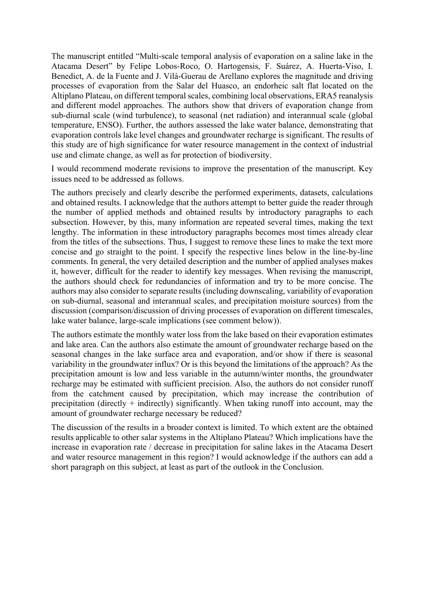The manuscript entitled "Multi-scale temporal analysis of evaporation on a saline lake in the Atacama Desert" by Felipe Lobos-Roco, O. Hartogensis, F. Suárez, A. Huerta-Viso, I. Benedict, A. de la Fuente and J. Vilà-Guerau de Arellano explores the magnitude and driving processes of evaporation from the Salar del Huasco, an endorheic salt flat located on the Altiplano Plateau, on different temporal scales, combining local observations, ERA5 reanalysis and different model approaches. The authors show that drivers of evaporation change from sub-diurnal scale (wind turbulence), to seasonal (net radiation) and interannual scale (global temperature, ENSO). Further, the authors assessed the lake water balance, demonstrating that evaporation controls lake level changes and groundwater recharge is significant. The results of this study are of high significance for water resource management in the context of industrial use and climate change, as well as for protection of biodiversity.

I would recommend moderate revisions to improve the presentation of the manuscript. Key issues need to be addressed as follows.

The authors precisely and clearly describe the performed experiments, datasets, calculations and obtained results. I acknowledge that the authors attempt to better guide the reader through the number of applied methods and obtained results by introductory paragraphs to each subsection. However, by this, many information are repeated several times, making the text lengthy. The information in these introductory paragraphs becomes most times already clear from the titles of the subsections. Thus, I suggest to remove these lines to make the text more concise and go straight to the point. I specify the respective lines below in the line-by-line comments. In general, the very detailed description and the number of applied analyses makes it, however, difficult for the reader to identify key messages. When revising the manuscript, the authors should check for redundancies of information and try to be more concise. The authors may also consider to separate results (including downscaling, variability of evaporation on sub-diurnal, seasonal and interannual scales, and precipitation moisture sources) from the discussion (comparison/discussion of driving processes of evaporation on different timescales, lake water balance, large-scale implications (see comment below)).

The authors estimate the monthly water loss from the lake based on their evaporation estimates and lake area. Can the authors also estimate the amount of groundwater recharge based on the seasonal changes in the lake surface area and evaporation, and/or show if there is seasonal variability in the groundwater influx? Or is this beyond the limitations of the approach? As the precipitation amount is low and less variable in the autumn/winter months, the groundwater recharge may be estimated with sufficient precision. Also, the authors do not consider runoff from the catchment caused by precipitation, which may increase the contribution of precipitation (directly + indirectly) significantly. When taking runoff into account, may the amount of groundwater recharge necessary be reduced?

The discussion of the results in a broader context is limited. To which extent are the obtained results applicable to other salar systems in the Altiplano Plateau? Which implications have the increase in evaporation rate / decrease in precipitation for saline lakes in the Atacama Desert and water resource management in this region? I would acknowledge if the authors can add a short paragraph on this subject, at least as part of the outlook in the Conclusion.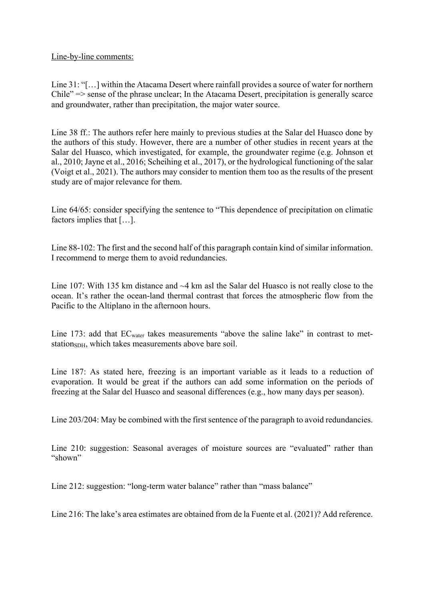Line-by-line comments:

Line 31: "[…] within the Atacama Desert where rainfall provides a source of water for northern Chile" => sense of the phrase unclear; In the Atacama Desert, precipitation is generally scarce and groundwater, rather than precipitation, the major water source.

Line 38 ff.: The authors refer here mainly to previous studies at the Salar del Huasco done by the authors of this study. However, there are a number of other studies in recent years at the Salar del Huasco, which investigated, for example, the groundwater regime (e.g. Johnson et al., 2010; Jayne et al., 2016; Scheihing et al., 2017), or the hydrological functioning of the salar (Voigt et al., 2021). The authors may consider to mention them too as the results of the present study are of major relevance for them.

Line 64/65: consider specifying the sentence to "This dependence of precipitation on climatic factors implies that […].

Line 88-102: The first and the second half of this paragraph contain kind of similar information. I recommend to merge them to avoid redundancies.

Line 107: With 135 km distance and  $\sim$ 4 km asl the Salar del Huasco is not really close to the ocean. It's rather the ocean-land thermal contrast that forces the atmospheric flow from the Pacific to the Altiplano in the afternoon hours.

Line 173: add that EC<sub>water</sub> takes measurements "above the saline lake" in contrast to metstation<sub>SDH</sub>, which takes measurements above bare soil.

Line 187: As stated here, freezing is an important variable as it leads to a reduction of evaporation. It would be great if the authors can add some information on the periods of freezing at the Salar del Huasco and seasonal differences (e.g., how many days per season).

Line 203/204: May be combined with the first sentence of the paragraph to avoid redundancies.

Line 210: suggestion: Seasonal averages of moisture sources are "evaluated" rather than "shown"

Line 212: suggestion: "long-term water balance" rather than "mass balance"

Line 216: The lake's area estimates are obtained from de la Fuente et al. (2021)? Add reference.